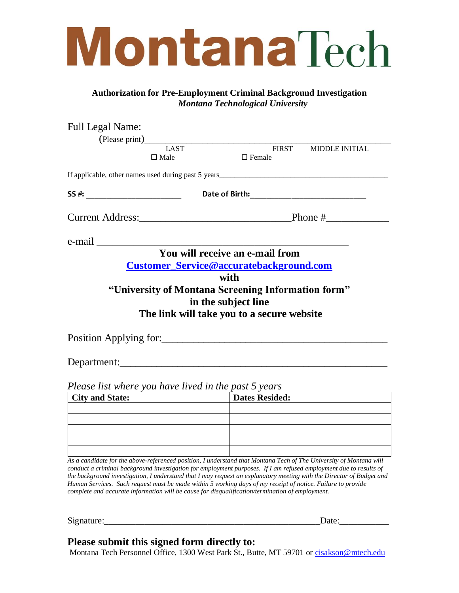## **MontanaTech**

## **Authorization for Pre-Employment Criminal Background Investigation**  *Montana Technological University*

| <b>Full Legal Name:</b> |                     |                                                                                                                         |                       |  |
|-------------------------|---------------------|-------------------------------------------------------------------------------------------------------------------------|-----------------------|--|
|                         |                     |                                                                                                                         |                       |  |
|                         | LAST<br>$\Box$ Male | <b>FIRST</b><br>$\Box$ Female                                                                                           | <b>MIDDLE INITIAL</b> |  |
|                         |                     |                                                                                                                         |                       |  |
|                         |                     | SS #: Date of Birth: Date of Birth:                                                                                     |                       |  |
|                         |                     |                                                                                                                         |                       |  |
|                         |                     |                                                                                                                         |                       |  |
|                         |                     | You will receive an e-mail from                                                                                         |                       |  |
|                         |                     | <b>Customer_Service@accuratebackground.com</b><br>with                                                                  |                       |  |
|                         |                     | "University of Montana Screening Information form"<br>in the subject line<br>The link will take you to a secure website |                       |  |
|                         |                     | Position Applying for:                                                                                                  |                       |  |
|                         |                     |                                                                                                                         |                       |  |
|                         |                     | Please list where you have lived in the past 5 years                                                                    |                       |  |
| <b>City and State:</b>  |                     | <b>Dates Resided:</b>                                                                                                   |                       |  |
|                         |                     |                                                                                                                         |                       |  |
|                         |                     |                                                                                                                         |                       |  |
|                         |                     |                                                                                                                         |                       |  |
|                         |                     |                                                                                                                         |                       |  |

*As a candidate for the above-referenced position, I understand that Montana Tech of The University of Montana will conduct a criminal background investigation for employment purposes. If I am refused employment due to results of the background investigation, I understand that I may request an explanatory meeting with the Director of Budget and Human Services. Such request must be made within 5 working days of my receipt of notice. Failure to provide complete and accurate information will be cause for disqualification/termination of employment.*

Signature:

## **Please submit this signed form directly to:**

Montana Tech Personnel Office, 1300 West Park St., Butte, MT 59701 or [cisakson@mtech.edu](mailto:cisakson@mtech.edu)